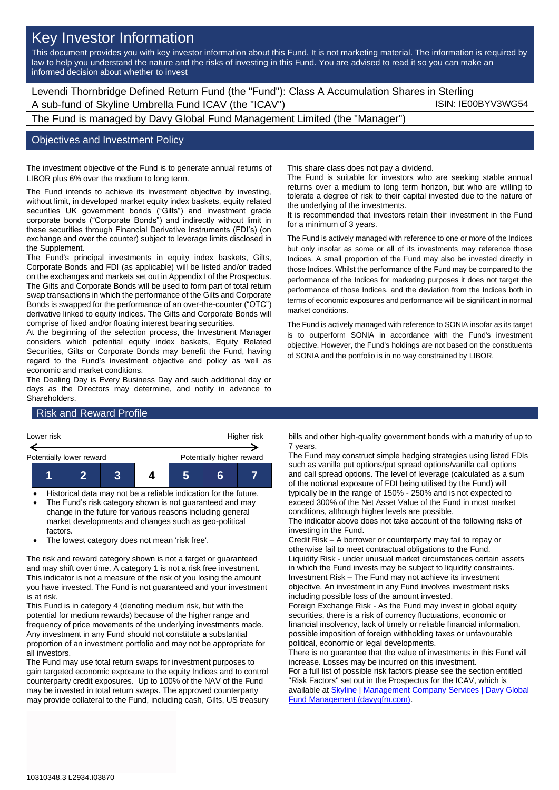# Key Investor Information

This document provides you with key investor information about this Fund. It is not marketing material. The information is required by law to help you understand the nature and the risks of investing in this Fund. You are advised to read it so you can make an informed decision about whether to invest

Levendi Thornbridge Defined Return Fund (the "Fund"): Class A Accumulation Shares in Sterling A sub-fund of Skyline Umbrella Fund ICAV (the "ICAV") ISIN: IE00BYV3WG54

The Fund is managed by Davy Global Fund Management Limited (the "Manager")

### Objectives and Investment Policy

The investment objective of the Fund is to generate annual returns of LIBOR plus 6% over the medium to long term.

The Fund intends to achieve its investment objective by investing, without limit, in developed market equity index baskets, equity related securities UK government bonds ("Gilts") and investment grade corporate bonds ("Corporate Bonds") and indirectly without limit in these securities through Financial Derivative Instruments (FDI's) (on exchange and over the counter) subject to leverage limits disclosed in the Supplement.

The Fund's principal investments in equity index baskets, Gilts, Corporate Bonds and FDI (as applicable) will be listed and/or traded on the exchanges and markets set out in Appendix I of the Prospectus. The Gilts and Corporate Bonds will be used to form part of total return swap transactions in which the performance of the Gilts and Corporate Bonds is swapped for the performance of an over-the-counter ("OTC") derivative linked to equity indices. The Gilts and Corporate Bonds will comprise of fixed and/or floating interest bearing securities.

At the beginning of the selection process, the Investment Manager considers which potential equity index baskets, Equity Related Securities, Gilts or Corporate Bonds may benefit the Fund, having regard to the Fund's investment objective and policy as well as economic and market conditions.

The Dealing Day is Every Business Day and such additional day or days as the Directors may determine, and notify in advance to Shareholders.

This share class does not pay a dividend.

The Fund is suitable for investors who are seeking stable annual returns over a medium to long term horizon, but who are willing to tolerate a degree of risk to their capital invested due to the nature of the underlying of the investments.

It is recommended that investors retain their investment in the Fund for a minimum of 3 years.

The Fund is actively managed with reference to one or more of the Indices but only insofar as some or all of its investments may reference those Indices. A small proportion of the Fund may also be invested directly in those Indices. Whilst the performance of the Fund may be compared to the performance of the Indices for marketing purposes it does not target the performance of those Indices, and the deviation from the Indices both in terms of economic exposures and performance will be significant in normal market conditions.

The Fund is actively managed with reference to SONIA insofar as its target is to outperform SONIA in accordance with the Fund's investment objective. However, the Fund's holdings are not based on the constituents of SONIA and the portfolio is in no way constrained by LIBOR.

## Risk and Reward Profile



- Historical data may not be a reliable indication for the future.
- The Fund's risk category shown is not guaranteed and may change in the future for various reasons including general market developments and changes such as geo-political factors.
- The lowest category does not mean 'risk free'.

The risk and reward category shown is not a target or guaranteed and may shift over time. A category 1 is not a risk free investment. This indicator is not a measure of the risk of you losing the amount you have invested. The Fund is not guaranteed and your investment is at risk.

This Fund is in category 4 (denoting medium risk, but with the potential for medium rewards) because of the higher range and frequency of price movements of the underlying investments made. Any investment in any Fund should not constitute a substantial proportion of an investment portfolio and may not be appropriate for all investors.

The Fund may use total return swaps for investment purposes to gain targeted economic exposure to the equity Indices and to control counterparty credit exposures. Up to 100% of the NAV of the Fund may be invested in total return swaps. The approved counterparty may provide collateral to the Fund, including cash, Gilts, US treasury bills and other high-quality government bonds with a maturity of up to 7 years.

The Fund may construct simple hedging strategies using listed FDIs such as vanilla put options/put spread options/vanilla call options and call spread options. The level of leverage (calculated as a sum of the notional exposure of FDI being utilised by the Fund) will typically be in the range of 150% - 250% and is not expected to exceed 300% of the Net Asset Value of the Fund in most market conditions, although higher levels are possible.

The indicator above does not take account of the following risks of investing in the Fund.

Credit Risk – A borrower or counterparty may fail to repay or otherwise fail to meet contractual obligations to the Fund. Liquidity Risk - under unusual market circumstances certain assets in which the Fund invests may be subject to liquidity constraints. Investment Risk – The Fund may not achieve its investment objective. An investment in any Fund involves investment risks including possible loss of the amount invested.

Foreign Exchange Risk - As the Fund may invest in global equity securities, there is a risk of currency fluctuations, economic or financial insolvency, lack of timely or reliable financial information, possible imposition of foreign withholding taxes or unfavourable political, economic or legal developments.

There is no guarantee that the value of investments in this Fund will increase. Losses may be incurred on this investment.

For a full list of possible risk factors please see the section entitled "Risk Factors" set out in the Prospectus for the ICAV, which is available a[t Skyline | Management Company Services | Davy Global](https://www.davygfm.com/funds-factsheets/management-company-services/ireland/skyline.html)  [Fund Management \(davygfm.com\).](https://www.davygfm.com/funds-factsheets/management-company-services/ireland/skyline.html)